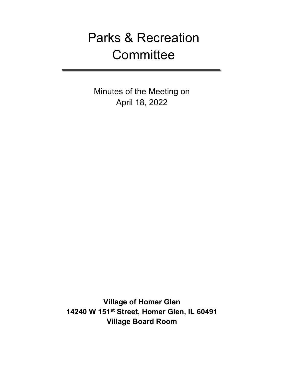# Parks & Recreation **Committee**

Minutes of the Meeting on April 18, 2022

**Village of Homer Glen 14240 W 151st Street, Homer Glen, IL 60491 Village Board Room**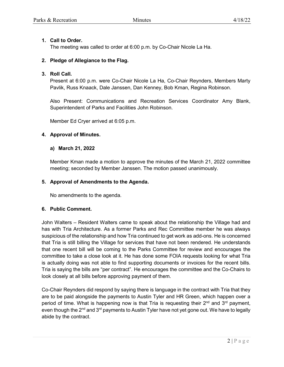#### **1. Call to Order.**

The meeting was called to order at 6:00 p.m. by Co-Chair Nicole La Ha.

## **2. Pledge of Allegiance to the Flag.**

#### **3. Roll Call.**

Present at 6:00 p.m. were Co-Chair Nicole La Ha, Co-Chair Reynders, Members Marty Pavlik, Russ Knaack, Dale Janssen, Dan Kenney, Bob Kman, Regina Robinson.

Also Present: Communications and Recreation Services Coordinator Amy Blank, Superintendent of Parks and Facilities John Robinson.

Member Ed Cryer arrived at 6:05 p.m.

## **4. Approval of Minutes.**

## **a) March 21, 2022**

Member Kman made a motion to approve the minutes of the March 21, 2022 committee meeting; seconded by Member Janssen. The motion passed unanimously.

#### **5. Approval of Amendments to the Agenda.**

No amendments to the agenda.

#### **6. Public Comment.**

John Walters – Resident Walters came to speak about the relationship the Village had and has with Tria Architecture. As a former Parks and Rec Committee member he was always suspicious of the relationship and how Tria continued to get work as add-ons. He is concerned that Tria is still billing the Village for services that have not been rendered. He understands that one recent bill will be coming to the Parks Committee for review and encourages the committee to take a close look at it. He has done some FOIA requests looking for what Tria is actually doing was not able to find supporting documents or invoices for the recent bills. Tria is saying the bills are "per contract". He encourages the committee and the Co-Chairs to look closely at all bills before approving payment of them.

Co-Chair Reynders did respond by saying there is language in the contract with Tria that they are to be paid alongside the payments to Austin Tyler and HR Green, which happen over a period of time. What is happening now is that Tria is requesting their  $2^{nd}$  and  $3^{rd}$  payment, even though the 2<sup>nd</sup> and 3<sup>rd</sup> payments to Austin Tyler have not yet gone out. We have to legally abide by the contract.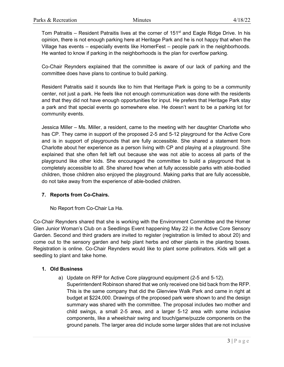Tom Patraitis – Resident Patraitis lives at the corner of 151 $st$  and Eagle Ridge Drive. In his opinion, there is not enough parking here at Heritage Park and he is not happy that when the Village has events – especially events like HomerFest – people park in the neighborhoods. He wanted to know if parking in the neighborhoods is the plan for overflow parking.

Co-Chair Reynders explained that the committee is aware of our lack of parking and the committee does have plans to continue to build parking.

Resident Patraitis said it sounds like to him that Heritage Park is going to be a community center, not just a park. He feels like not enough communication was done with the residents and that they did not have enough opportunities for input. He prefers that Heritage Park stay a park and that special events go somewhere else. He doesn't want to be a parking lot for community events.

Jessica Miller – Ms. Miller, a resident, came to the meeting with her daughter Charlotte who has CP. They came in support of the proposed 2-5 and 5-12 playground for the Active Core and is in support of playgrounds that are fully accessible. She shared a statement from Charlotte about her experience as a person living with CP and playing at a playground. She explained that she often felt left out because she was not able to access all parts of the playground like other kids. She encouraged the committee to build a playground that is completely accessible to all. She shared how when at fully accessible parks with able-bodied children, those children also enjoyed the playground. Making parks that are fully accessible, do not take away from the experience of able-bodied children.

#### **7. Reports from Co-Chairs.**

No Report from Co-Chair La Ha.

Co-Chair Reynders shared that she is working with the Environment Committee and the Homer Glen Junior Woman's Club on a Seedlings Event happening May 22 in the Active Core Sensory Garden. Second and third graders are invited to register (registration is limited to about 20) and come out to the sensory garden and help plant herbs and other plants in the planting boxes. Registration is online. Co-Chair Reynders would like to plant some pollinators. Kids will get a seedling to plant and take home.

#### **1. Old Business**

a) Update on RFP for Active Core playground equipment (2-5 and 5-12). Superintendent Robinson shared that we only received one bid back from the RFP. This is the same company that did the Glenview Walk Park and came in right at budget at \$224,000. Drawings of the proposed park were shown to and the design summary was shared with the committee. The proposal includes two mother and child swings, a small 2-5 area, and a larger 5-12 area with some inclusive components, like a wheelchair swing and touch/game/puzzle components on the ground panels. The larger area did include some larger slides that are not inclusive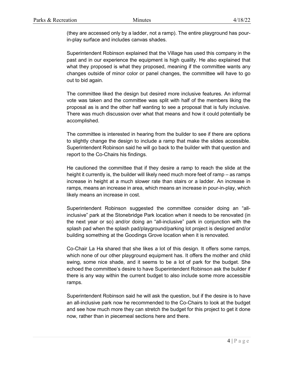(they are accessed only by a ladder, not a ramp). The entire playground has pourin-play surface and includes canvas shades.

Superintendent Robinson explained that the Village has used this company in the past and in our experience the equipment is high quality. He also explained that what they proposed is what they proposed, meaning if the committee wants any changes outside of minor color or panel changes, the committee will have to go out to bid again.

The committee liked the design but desired more inclusive features. An informal vote was taken and the committee was split with half of the members liking the proposal as is and the other half wanting to see a proposal that is fully inclusive. There was much discussion over what that means and how it could potentially be accomplished.

The committee is interested in hearing from the builder to see if there are options to slightly change the design to include a ramp that make the slides accessible. Superintendent Robinson said he will go back to the builder with that question and report to the Co-Chairs his findings.

He cautioned the committee that if they desire a ramp to reach the slide at the height it currently is, the builder will likely need much more feet of ramp – as ramps increase in height at a much slower rate than stairs or a ladder. An increase in ramps, means an increase in area, which means an increase in pour-in-play, which likely means an increase in cost.

Superintendent Robinson suggested the committee consider doing an "allinclusive" park at the Stonebridge Park location when it needs to be renovated (in the next year or so) and/or doing an "all-inclusive" park in conjunction with the splash pad when the splash pad/playground/parking lot project is designed and/or building something at the Goodings Grove location when it is renovated.

Co-Chair La Ha shared that she likes a lot of this design. It offers some ramps, which none of our other playground equipment has. It offers the mother and child swing, some nice shade, and it seems to be a lot of park for the budget. She echoed the committee's desire to have Superintendent Robinson ask the builder if there is any way within the current budget to also include some more accessible ramps.

Superintendent Robinson said he will ask the question, but if the desire is to have an all-inclusive park now he recommended to the Co-Chairs to look at the budget and see how much more they can stretch the budget for this project to get it done now, rather than in piecemeal sections here and there.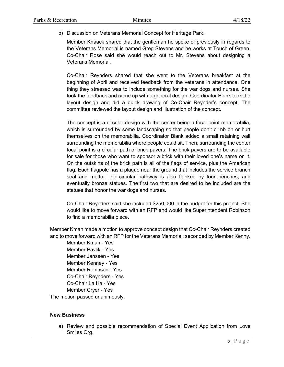b) Discussion on Veterans Memorial Concept for Heritage Park.

Member Knaack shared that the gentleman he spoke of previously in regards to the Veterans Memorial is named Greg Stevens and he works at Touch of Green. Co-Chair Rose said she would reach out to Mr. Stevens about designing a Veterans Memorial.

Co-Chair Reynders shared that she went to the Veterans breakfast at the beginning of April and received feedback from the veterans in attendance. One thing they stressed was to include something for the war dogs and nurses. She took the feedback and came up with a general design. Coordinator Blank took the layout design and did a quick drawing of Co-Chair Reynder's concept. The committee reviewed the layout design and illustration of the concept.

The concept is a circular design with the center being a focal point memorabilia, which is surrounded by some landscaping so that people don't climb on or hurt themselves on the memorabilia. Coordinator Blank added a small retaining wall surrounding the memorabilia where people could sit. Then, surrounding the center focal point is a circular path of brick pavers. The brick pavers are to be available for sale for those who want to sponsor a brick with their loved one's name on it. On the outskirts of the brick path is all of the flags of service, plus the American flag. Each flagpole has a plaque near the ground that includes the service branch seal and motto. The circular pathway is also flanked by four benches, and eventually bronze statues. The first two that are desired to be included are the statues that honor the war dogs and nurses.

Co-Chair Reynders said she included \$250,000 in the budget for this project. She would like to move forward with an RFP and would like Superintendent Robinson to find a memorabilia piece.

Member Kman made a motion to approve concept design that Co-Chair Reynders created and to move forward with an RFP for the Veterans Memorial; seconded by Member Kenny.

Member Kman - Yes Member Pavlik - Yes Member Janssen - Yes Member Kenney - Yes Member Robinson - Yes Co-Chair Reynders - Yes Co-Chair La Ha - Yes Member Cryer - Yes The motion passed unanimously.

#### **New Business**

a) Review and possible recommendation of Special Event Application from Love Smiles Org.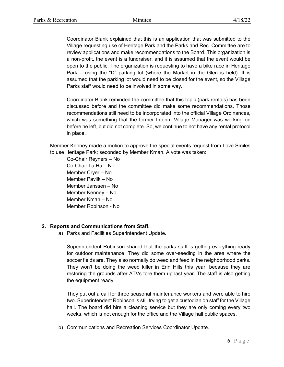Coordinator Blank explained that this is an application that was submitted to the Village requesting use of Heritage Park and the Parks and Rec. Committee are to review applications and make recommendations to the Board. This organization is a non-profit, the event is a fundraiser, and it is assumed that the event would be open to the public. The organization is requesting to have a bike race in Heritage Park – using the "D" parking lot (where the Market in the Glen is held). It is assumed that the parking lot would need to be closed for the event, so the Village Parks staff would need to be involved in some way.

Coordinator Blank reminded the committee that this topic (park rentals) has been discussed before and the committee did make some recommendations. Those recommendations still need to be incorporated into the official Village Ordinances, which was something that the former Interim Village Manager was working on before he left, but did not complete. So, we continue to not have any rental protocol in place.

Member Kenney made a motion to approve the special events request from Love Smiles to use Heritage Park; seconded by Member Kman. A vote was taken:

Co-Chair Reyners – No Co-Chair La Ha – No Member Cryer – No Member Pavlik – No Member Janssen – No Member Kenney – No Member Kman – No Member Robinson - No

#### **2. Reports and Communications from Staff.**

a) Parks and Facilities Superintendent Update.

Superintendent Robinson shared that the parks staff is getting everything ready for outdoor maintenance. They did some over-seeding in the area where the soccer fields are. They also normally do weed and feed in the neighborhood parks. They won't be doing the weed killer in Erin Hills this year, because they are restoring the grounds after ATVs tore them up last year. The staff is also getting the equipment ready.

They put out a call for three seasonal maintenance workers and were able to hire two. Superintendent Robinson is still trying to get a custodian on staff for the Village hall. The board did hire a cleaning service but they are only coming every two weeks, which is not enough for the office and the Village hall public spaces.

b) Communications and Recreation Services Coordinator Update.